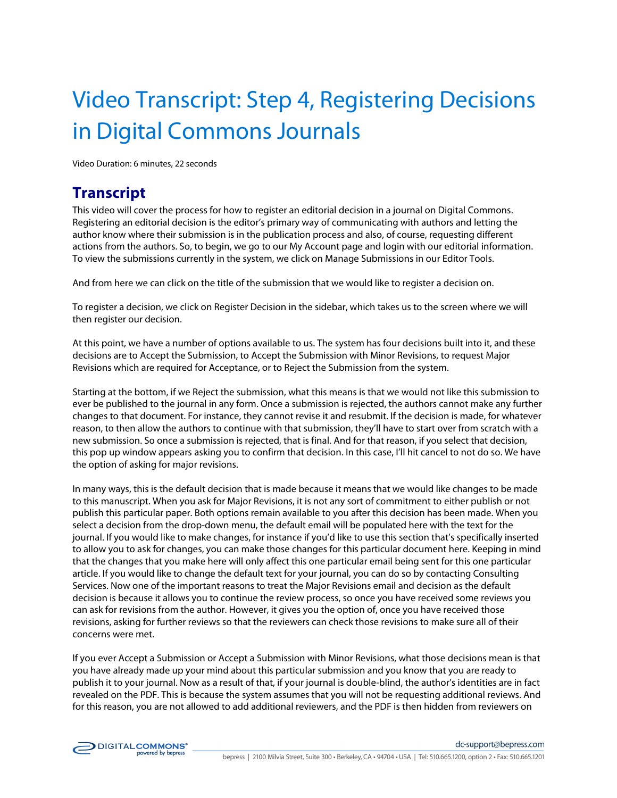## Video Transcript: Step 4, Registering Decisions in Digital Commons Journals

Video Duration: 6 minutes, 22 seconds

## **Transcript**

This video will cover the process for how to register an editorial decision in a journal on Digital Commons. Registering an editorial decision is the editor's primary way of communicating with authors and letting the author know where their submission is in the publication process and also, of course, requesting different actions from the authors. So, to begin, we go to our My Account page and login with our editorial information. To view the submissions currently in the system, we click on Manage Submissions in our Editor Tools.

And from here we can click on the title of the submission that we would like to register a decision on.

To register a decision, we click on Register Decision in the sidebar, which takes us to the screen where we will then register our decision.

At this point, we have a number of options available to us. The system has four decisions built into it, and these decisions are to Accept the Submission, to Accept the Submission with Minor Revisions, to request Major Revisions which are required for Acceptance, or to Reject the Submission from the system.

Starting at the bottom, if we Reject the submission, what this means is that we would not like this submission to ever be published to the journal in any form. Once a submission is rejected, the authors cannot make any further changes to that document. For instance, they cannot revise it and resubmit. If the decision is made, for whatever reason, to then allow the authors to continue with that submission, they'll have to start over from scratch with a new submission. So once a submission is rejected, that is final. And for that reason, if you select that decision, this pop up window appears asking you to confirm that decision. In this case, I'll hit cancel to not do so. We have the option of asking for major revisions.

In many ways, this is the default decision that is made because it means that we would like changes to be made to this manuscript. When you ask for Major Revisions, it is not any sort of commitment to either publish or not publish this particular paper. Both options remain available to you after this decision has been made. When you select a decision from the drop-down menu, the default email will be populated here with the text for the journal. If you would like to make changes, for instance if you'd like to use this section that's specifically inserted to allow you to ask for changes, you can make those changes for this particular document here. Keeping in mind that the changes that you make here will only affect this one particular email being sent for this one particular article. If you would like to change the default text for your journal, you can do so by contacting Consulting Services. Now one of the important reasons to treat the Major Revisions email and decision as the default decision is because it allows you to continue the review process, so once you have received some reviews you can ask for revisions from the author. However, it gives you the option of, once you have received those revisions, asking for further reviews so that the reviewers can check those revisions to make sure all of their concerns were met.

If you ever Accept a Submission or Accept a Submission with Minor Revisions, what those decisions mean is that you have already made up your mind about this particular submission and you know that you are ready to publish it to your journal. Now as a result of that, if your journal is double-blind, the author's identities are in fact revealed on the PDF. This is because the system assumes that you will not be requesting additional reviews. And for this reason, you are not allowed to add additional reviewers, and the PDF is then hidden from reviewers on